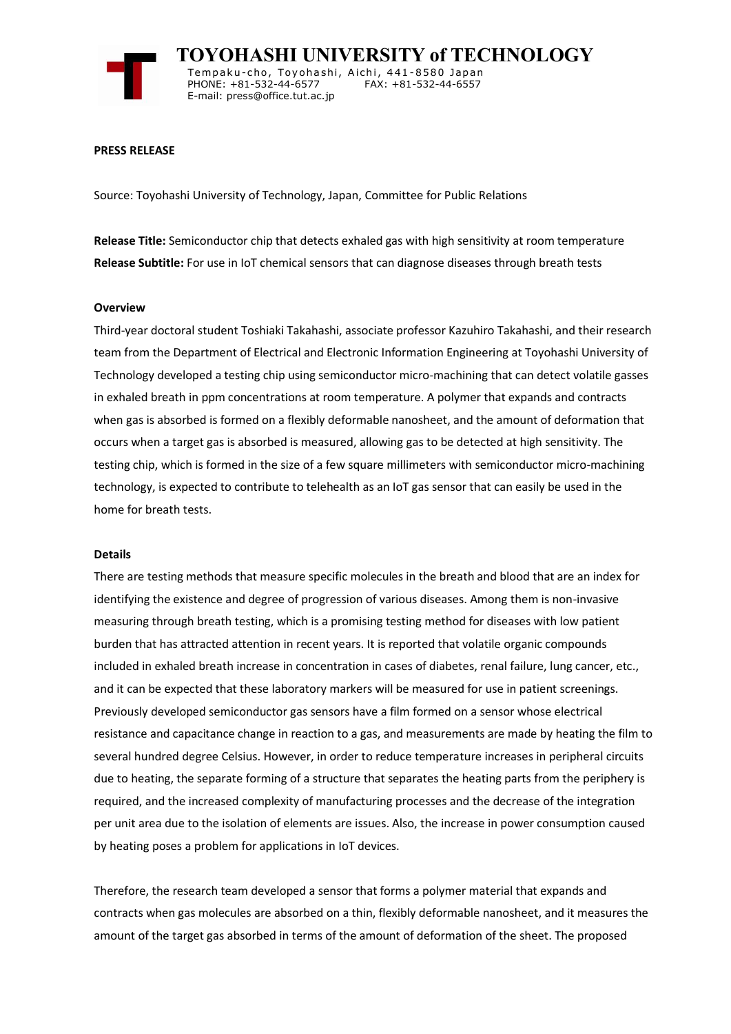

 **TOYOHASHI UNIVERSITY of TECHNOLOGY** Tempaku-cho, Toyohashi, Aichi, 441-8580 Japan<br>PHONE: +81-532-44-6577 FAX: +81-532-44-6557 PHONE: +81-532-44-6577 E-mail: press@office.tut.ac.jp

### **PRESS RELEASE**

Source: Toyohashi University of Technology, Japan, Committee for Public Relations

**Release Title:** Semiconductor chip that detects exhaled gas with high sensitivity at room temperature **Release Subtitle:** For use in IoT chemical sensors that can diagnose diseases through breath tests

#### **Overview**

Third-year doctoral student Toshiaki Takahashi, associate professor Kazuhiro Takahashi, and their research team from the Department of Electrical and Electronic Information Engineering at Toyohashi University of Technology developed a testing chip using semiconductor micro-machining that can detect volatile gasses in exhaled breath in ppm concentrations at room temperature. A polymer that expands and contracts when gas is absorbed is formed on a flexibly deformable nanosheet, and the amount of deformation that occurs when a target gas is absorbed is measured, allowing gas to be detected at high sensitivity. The testing chip, which is formed in the size of a few square millimeters with semiconductor micro-machining technology, is expected to contribute to telehealth as an IoT gas sensor that can easily be used in the home for breath tests.

#### **Details**

There are testing methods that measure specific molecules in the breath and blood that are an index for identifying the existence and degree of progression of various diseases. Among them is non-invasive measuring through breath testing, which is a promising testing method for diseases with low patient burden that has attracted attention in recent years. It is reported that volatile organic compounds included in exhaled breath increase in concentration in cases of diabetes, renal failure, lung cancer, etc., and it can be expected that these laboratory markers will be measured for use in patient screenings. Previously developed semiconductor gas sensors have a film formed on a sensor whose electrical resistance and capacitance change in reaction to a gas, and measurements are made by heating the film to several hundred degree Celsius. However, in order to reduce temperature increases in peripheral circuits due to heating, the separate forming of a structure that separates the heating parts from the periphery is required, and the increased complexity of manufacturing processes and the decrease of the integration per unit area due to the isolation of elements are issues. Also, the increase in power consumption caused by heating poses a problem for applications in IoT devices.

Therefore, the research team developed a sensor that forms a polymer material that expands and contracts when gas molecules are absorbed on a thin, flexibly deformable nanosheet, and it measures the amount of the target gas absorbed in terms of the amount of deformation of the sheet. The proposed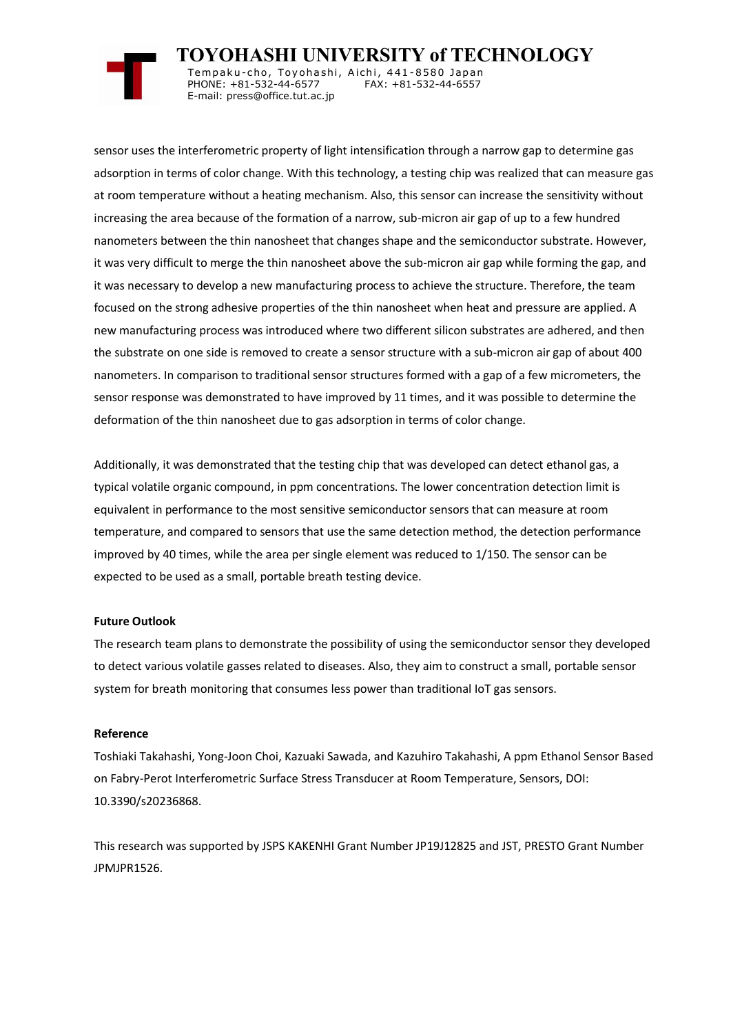

 **TOYOHASHI UNIVERSITY of TECHNOLOGY** Tempaku-cho, Toyohashi, Aichi, 441-8580 Japan<br>PHONE: +81-532-44-6577 FAX: +81-532-44-6557 PHONE: +81-532-44-6577 E-mail: press@office.tut.ac.jp

sensor uses the interferometric property of light intensification through a narrow gap to determine gas adsorption in terms of color change. With this technology, a testing chip was realized that can measure gas at room temperature without a heating mechanism. Also, this sensor can increase the sensitivity without increasing the area because of the formation of a narrow, sub-micron air gap of up to a few hundred nanometers between the thin nanosheet that changes shape and the semiconductor substrate. However, it was very difficult to merge the thin nanosheet above the sub-micron air gap while forming the gap, and it was necessary to develop a new manufacturing process to achieve the structure. Therefore, the team focused on the strong adhesive properties of the thin nanosheet when heat and pressure are applied. A new manufacturing process was introduced where two different silicon substrates are adhered, and then the substrate on one side is removed to create a sensor structure with a sub-micron air gap of about 400 nanometers. In comparison to traditional sensor structures formed with a gap of a few micrometers, the sensor response was demonstrated to have improved by 11 times, and it was possible to determine the deformation of the thin nanosheet due to gas adsorption in terms of color change.

Additionally, it was demonstrated that the testing chip that was developed can detect ethanol gas, a typical volatile organic compound, in ppm concentrations. The lower concentration detection limit is equivalent in performance to the most sensitive semiconductor sensors that can measure at room temperature, and compared to sensors that use the same detection method, the detection performance improved by 40 times, while the area per single element was reduced to 1/150. The sensor can be expected to be used as a small, portable breath testing device.

## **Future Outlook**

The research team plans to demonstrate the possibility of using the semiconductor sensor they developed to detect various volatile gasses related to diseases. Also, they aim to construct a small, portable sensor system for breath monitoring that consumes less power than traditional IoT gas sensors.

# **Reference**

Toshiaki Takahashi, Yong-Joon Choi, Kazuaki Sawada, and Kazuhiro Takahashi, A ppm Ethanol Sensor Based on Fabry-Perot Interferometric Surface Stress Transducer at Room Temperature, Sensors, DOI: 10.3390/s20236868.

This research was supported by JSPS KAKENHI Grant Number JP19J12825 and JST, PRESTO Grant Number JPMJPR1526.